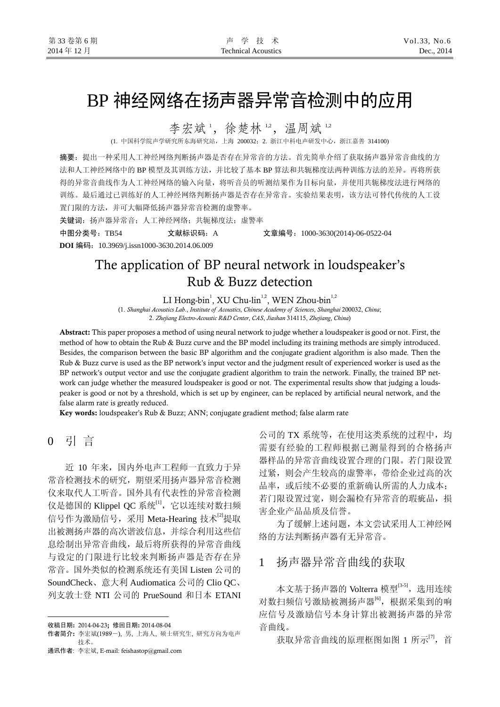# BP 神经网络在扬声器异常音检测中的应用

李宏斌1, 徐楚林12, 温周斌12

(1. 中国科学院声学研究所东海研究站,上海 200032;2. 浙江中科电声研发中心,浙江嘉善 314100)

摘要:提出一种采用人工神经网络判断扬声器是否存在异常音的方法。首先简单介绍了获取扬声器异常音曲线的方 法和人工神经网络中的 BP 模型及其训练方法,并比较了基本 BP 算法和共轭梯度法两种训练方法的差异。再将所获 得的异常音曲线作为人工神经网络的输入向量,将听音员的听测结果作为目标向量,并使用共轭梯度法进行网络的 训练。最后通过已训练好的人工神经网络判断扬声器是否存在异常音。实验结果表明,该方法可替代传统的人工设 置门限的方法,并可大幅降低扬声器异常音检测的虚警率。

关键词: 扬声器异常音; 人工神经网络; 共轭梯度法; 虚警率

中图分类号:TB54 文献标识码:A 文章编号:1000-3630(2014)-06-0522-04

**DOI** 编码:10.3969/j.issn1000-3630.2014.06.009

## The application of BP neural network in loudspeaker's Rub & Buzz detection

LI Hong-bin<sup>1</sup>, XU Chu-lin<sup>1,2</sup>, WEN Zhou-bin<sup>1,2</sup>

(1. *Shanghai Acoustics Lab*., *Institute of Acoustics*, *Chinese Academy of Sciences*, *Shanghai* 200032, *China*; 2. *Zhejiang Electro-Acoustic R&D Center*, *CAS*, *Jiashan* 314115, *Zhejiang*, *China*)

Abstract: This paper proposes a method of using neural network to judge whether a loudspeaker is good or not. First, the method of how to obtain the Rub & Buzz curve and the BP model including its training methods are simply introduced. Besides, the comparison between the basic BP algorithm and the conjugate gradient algorithm is also made. Then the Rub & Buzz curve is used as the BP network's input vector and the judgment result of experienced worker is used as the BP network's output vector and use the conjugate gradient algorithm to train the network. Finally, the trained BP network can judge whether the measured loudspeaker is good or not. The experimental results show that judging a loudspeaker is good or not by a threshold, which is set up by engineer, can be replaced by artificial neural network, and the false alarm rate is greatly reduced.

Key words: loudspeaker's Rub & Buzz; ANN; conjugate gradient method; false alarm rate

0 引 言

 $\overline{a}$ 

近 10 年来,国内外电声工程师一直致力于异 常音检测技术的研究, 期望采用扬声器异常音检测 仪来取代人工听音。国外具有代表性的异常音检测 仪是德国的 Klippel QC 系统<sup>[1]</sup>, 它以连续对数扫频 信号作为激励信号,采用 Meta-Hearing 技术<sup>[2]</sup>提取 出被测扬声器的高次谐波信息,并综合利用这些信 息绘制出异常音曲线,最后将所获得的异常音曲线 与设定的门限进行比较来判断扬声器是否存在异 常音。国外类似的检测系统还有美国 Listen 公司的 SoundCheck、意大利 Audiomatica 公司的 Clio QC、 列支敦士登 NTI 公司的 PrueSound 和日本 ETANI

收稿日期: 2014-04-23; 修回日期: 2014-08-04

公司的 TX 系统等, 在使用这类系统的过程中, 均 需要有经验的工程师根据已测量得到的合格扬声 器样品的异常音曲线设置合理的门限。若门限设置 过紧,则会产生较高的虚警率,带给企业过高的次 品率, 或后续不必要的重新确认所需的人力成本; 若门限设置过宽,则会漏检有异常音的瑕疵品,损 害企业产品品质及信誉。

为了缓解上述问题,本文尝试采用人工神经网 络的方法判断扬声器有无异常音。

### 1 扬声器异常音曲线的获取

本文基于扬声器的 Volterra 模型[3-5], 选用连续 对数扫频信号激励被测扬声器[6],根据采集到的响 应信号及激励信号本身计算出被测扬声器的异常 音曲线。

获取异常音曲线的原理框图如图 1 所示<sup>[7]</sup>, 首

作者简介: 李宏斌(1989-), 男, 上海人, 硕士研究生, 研究方向为电声 技术。

通讯作者: 李宏斌, E-mail: feishastop@gmail.com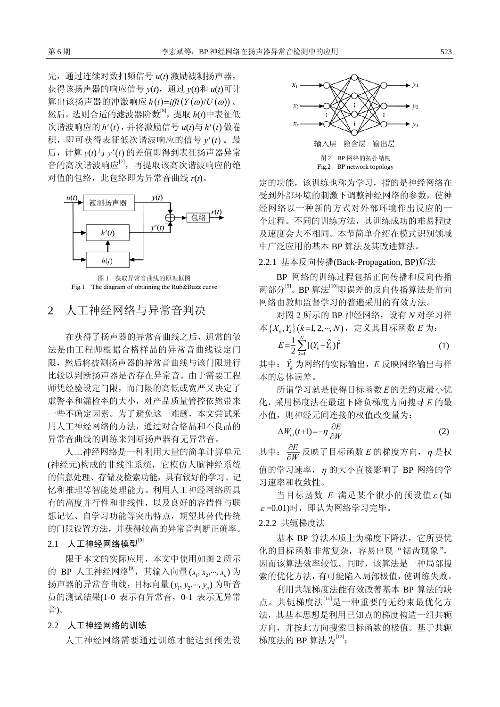先,通过连续对数扫频信号 *u*(*t*) 激励被测扬声器, 获得该扬声器的响应信号 *y*(*t*),通过 *y*(*t*)和 *u*(*t*)可计  $\Pi$ 出该扬声器的冲激响应  $h(t) = \inf\{Y(\omega)/U(\omega)\}\$ 。 然后,选则合适的滤波器阶数[8],提取 *h*(*t*)中表征低 次谐波响应的 *h' t*( ) ,并将激励信号 *u*(*t*)与 *h' t*( ) 做卷 积, 即可获得表征低次谐波响应的信号  $v'(t)$  。最 后,计算 *y*(*t*)与 *y' t*( ) 的差值即得到表征扬声器异常 音的高次谐波响应<sup>[7]</sup>,再提取该高次谐波响应的绝 对值的包络,此包络即为异常音曲线 *r*(*t*)。



图 1 获取异常音曲线的原理框图 Fig.1 The diagram of obtaining the Rub&Buzz curve

## 2 人工神经网络与异常音判决

在获得了扬声器的异常音曲线之后,通常的做 法是由工程师根据合格样品的异常音曲线设定门 限,然后将被测扬声器的异常音曲线与该门限进行 比较以判断扬声器是否存在异常音。由于需要工程 师凭经验设定门限,而门限的高低或宽严又决定了 虚警率和漏检率的大小,对产品质量管控依然带来 一些不确定因素。为了避免这一难题,本文尝试采 用人工神经网络的方法,通过对合格品和不良品的 异常音曲线的训练来判断扬声器有无异常音。

人工神经网络是一种利用大量的简单计算单元 (神经元)构成的非线性系统,它模仿人脑神经系统 的信息处理、存储及检索功能,具有较好的学习、记 忆和推理等智能处理能力。利用人工神经网络所具 有的高度并行性和非线性,以及良好的容错性与联 想记忆、自学习功能等突出特点,期望其替代传统 的门限设置方法,并获得较高的异常音判断正确率。

#### $2.1$  人工神经网络模型 $^{[9]}$

限于本文的实际应用,本文中使用如图 2 所示 的 BP 人工神经网络 $^{[9]}$ ,其输入向量( $x_{\rm p}, x_{\rm p},$ ...,  $x_{\rm n}$ ) 为 扬声器的异常音曲线,目标向量(y<sub>1</sub>, y<sub>2</sub>,…, y<sub>n</sub>)为听音 员的测试结果(1-0 表示有异常音,0-1 表示无异常 音)。

#### 2.2 人工神经网络的训练

人工神经网络需要通过训练才能达到预先设



定的功能,该训练也称为学习,指的是神经网络在 受到外部环境的刺激下调整神经网络的参数,使神 经网络以一种新的方式对外部环境作出反应的一 个过程。不同的训练方法,其训练成功的难易程度 及速度会大不相同。本节简单介绍在模式识别领域 中广泛应用的基本 BP 算法及其改进算法。

#### 2.2.1 基本反向传播(Back-Propagation, BP)算法

BP 网络的训练过程包括正向传播和反向传播 两部分<sup>[9]</sup>。BP 算法<sup>[10]</sup>即误差的反向传播算法是前向 网络由教师监督学习的普遍采用的有效方法。

对图 2 所示的 BP 神经网络, 设有 *N* 对学习样 本 {X<sub>k</sub>, Y<sub>k</sub>}(k=1, 2, ···, N), 定义其目标函数 E 为:

$$
E = \frac{1}{2} \sum_{k=1}^{N} \left[ (Y_k - \hat{Y}_k) \right]^2
$$
 (1)

其中:  $\hat{Y}_k$ 为网络的实际输出,  $E$  反映网络输出与样 本的总体误差。

所谓学习就是使得目标函数*E*的无约束最小优 化,采用梯度法在最速下降负梯度方向搜寻 *E* 的最 小值,则神经元间连接的权值改变量为:

$$
\Delta W_{ij}(t+1) = -\eta \frac{\partial E}{\partial W} \tag{2}
$$

其中:  $\frac{\partial E}{\partial W}$  $\frac{\partial E}{\partial W}$ 反映了目标函数 *E* 的梯度方向, η是权 值的学习速率,<sup>η</sup> 的大小直接影响了 BP 网络的学 习速率和收敛性。

当目标函数 *E* 满足某个很小的预设值 <sup>ε</sup> (如  $\varepsilon$  =0.01)时, 即认为网络学习完毕。

#### 2.2.2 共轭梯度法

基本 BP 算法本质上为梯度下降法,它所要优 化的目标函数非常复杂,容易出现"锯齿现象", 因而该算法效率较低。同时,该算法是一种局部搜 索的优化方法,有可能陷入局部极值,使训练失败。

利用共轭梯度法能有效改善基本 BP 算法的缺 点。共轭梯度法[11]是一种重要的无约束最优化方 法,其基本思想是利用已知点的梯度构造一组共轭 方向,并按此方向搜索目标函数的极值。基于共轭 梯度法的 BP 算法为 $^{[12]}$ :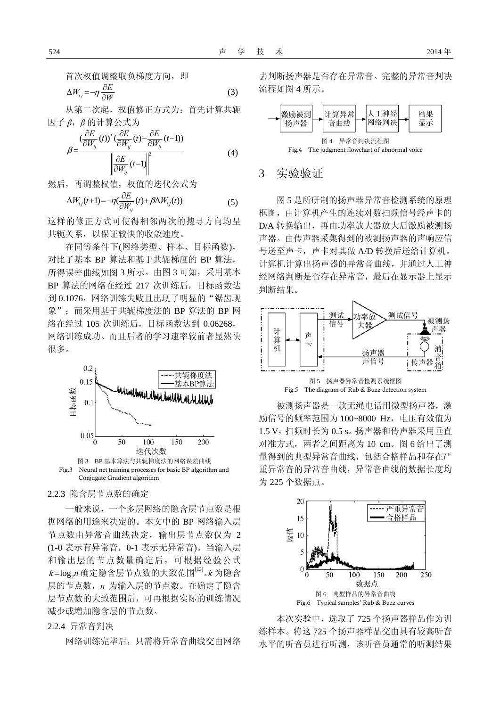首次权值调整取负梯度方向, 即

$$
\Delta W_{ij} = -\eta \frac{\partial E}{\partial W} \tag{3}
$$

从第二次起,权值修正方式为:首先计算共轭 因子 *β*,*β* 的计算公式为

$$
\beta = \frac{\left(\frac{\partial E}{\partial W_{ij}}(t)\right)^T \left(\frac{\partial E}{\partial W_{ij}}(t) - \frac{\partial E}{\partial W_{ij}}(t-1)\right)}{\left\|\frac{\partial E}{\partial W_{ij}}(t-1)\right\|^2}
$$
(4)

然后,再调整权值,权值的迭代公式为

$$
\Delta W_{ij}(t+1) = -\eta \left(\frac{\partial E}{\partial W_{ij}}(t) + \beta \Delta W_{ij}(t)\right) \tag{5}
$$

这样的修正方式可使得相邻两次的搜寻方向均呈 共轭关系,以保证较快的收敛速度。

在同等条件下(网络类型、样本、目标函数), 对比了基本 BP 算法和基于共轭梯度的 BP 算法, 所得误差曲线如图 3 所示。由图 3 可知,采用基本 BP 算法的网络在经过 217 次训练后,目标函数达 到 0.1076, 网络训练失败且出现了明显的"锯齿现 象": 而采用基于共轭梯度法的 BP 算法的 BP 网 络在经过 105 次训练后,目标函数达到 0.06268, 网络训练成功。而且后者的学习速率较前者显然快 很多。



2.2.3 隐含层节点数的确定

一般来说,一个多层网络的隐含层节点数是根 据网络的用途来决定的。本文中的 BP 网络输入层 节点数由异常音曲线决定,输出层节点数仅为 2 (1-0 表示有异常音,0-1 表示无异常音)。当输入层 和输出层的节点数量确定后,可根据经验公式  $k$ =log<sub>2</sub>n 确定隐含层节点数的大致范围<sup>[13]</sup>。*k* 为隐含 层的节点数,*n* 为输入层的节点数。在确定了隐含 层节点数的大致范围后,可再根据实际的训练情况 减少或增加隐含层的节点数。

#### 2.2.4 异常音判决

网络训练完毕后,只需将异常音曲线交由网络

去判断扬声器是否存在异常音。完整的异常音判决 流程如图 4 所示。



#### 3 实验验证

图 5 是所研制的扬声器异常音检测系统的原理 框图,由计算机产生的连续对数扫频信号经声卡的 D/A 转换输出,再由功率放大器放大后激励被测扬 声器。由传声器采集得到的被测扬声器的声响应信 号送至声卡,声卡对其做 A/D 转换后送给计算机。 计算机计算出扬声器的异常音曲线,并通过人工神 经网络判断是否存在异常音,最后在显示器上显示 判断结果。



被测扬声器是一款无绳电话用微型扬声器,激 励信号的频率范围为 100~8000 Hz, 电压有效值为 1.5 V,扫频时长为 0.5 s。扬声器和传声器采用垂直 对准方式,两者之间距离为 10 cm。图 6 给出了测 量得到的典型异常音曲线,包括合格样品和存在严 重异常音的异常音曲线,异常音曲线的数据长度均 为 225 个数据点。



本次实验中,选取了 725 个扬声器样品作为训 练样本。将这 725 个扬声器样品交由具有较高听音 水平的听音员进行听测,该听音员通常的听测结果